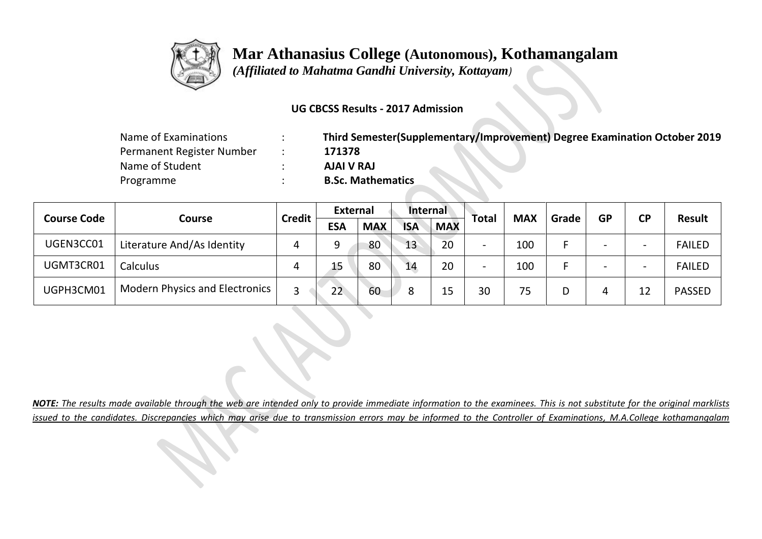

 *(Affiliated to Mahatma Gandhi University, Kottayam)*

### **UG CBCSS Results - 2017 Admission**

| Name of Examinations      | Third Semester(Supplementary/Improvement) Degree Examination October 2019 |
|---------------------------|---------------------------------------------------------------------------|
| Permanent Register Number | 171378                                                                    |
| Name of Student           | AJAI V RAJ                                                                |
| Programme                 | <b>B.Sc. Mathematics</b>                                                  |

|                    |                                       |               | External   |            | Internal   |            |              | <b>MAX</b> | Grade | <b>GP</b>                |                          | Result        |
|--------------------|---------------------------------------|---------------|------------|------------|------------|------------|--------------|------------|-------|--------------------------|--------------------------|---------------|
| <b>Course Code</b> | <b>Course</b>                         | <b>Credit</b> | <b>ESA</b> | <b>MAX</b> | <b>ISA</b> | <b>MAX</b> | <b>Total</b> |            |       |                          | <b>CP</b>                |               |
| UGEN3CC01          | Literature And/As Identity            | 4             |            | 80         | 13         | 20         | -            | 100        |       | $\overline{\phantom{0}}$ | $\overline{\phantom{a}}$ | <b>FAILED</b> |
| UGMT3CR01          | Calculus                              | 4             | 15         | 80         | 14         | 20         |              | 100        |       | $\overline{\phantom{0}}$ | $\overline{\phantom{0}}$ | <b>FAILED</b> |
| UGPH3CM01          | <b>Modern Physics and Electronics</b> |               | 22         | 60         | 8          | 15         | 30           | 75         |       |                          | 12                       | <b>PASSED</b> |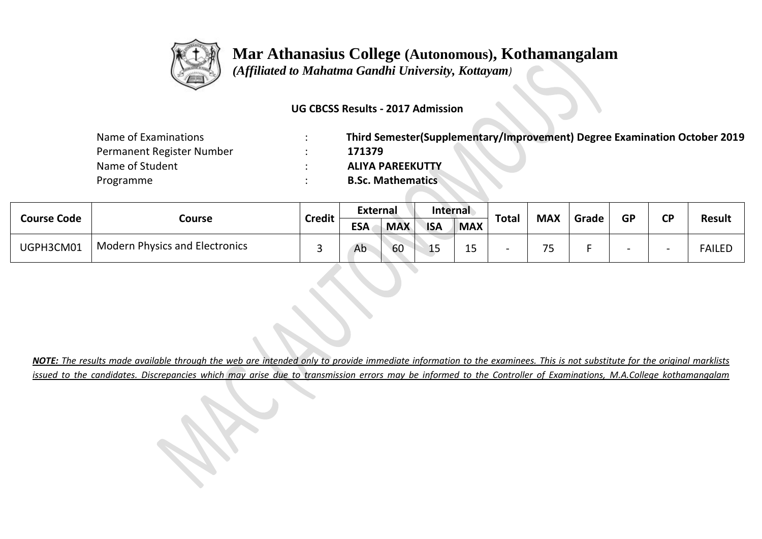

 *(Affiliated to Mahatma Gandhi University, Kottayam)*

#### **UG CBCSS Results - 2017 Admission**

| Name of Examinations      | Third Semester(Supplementary/Improvement) Degree Examination October 2019 |
|---------------------------|---------------------------------------------------------------------------|
| Permanent Register Number | 171379                                                                    |
| Name of Student           | <b>ALIYA PAREEKUTTY</b>                                                   |
| Programme                 | <b>B.Sc. Mathematics</b>                                                  |

| <b>Course Code</b> |                                       |               | <b>External</b> |            | <b>Internal</b> |            |              |            |       | GP | ΓD |               |
|--------------------|---------------------------------------|---------------|-----------------|------------|-----------------|------------|--------------|------------|-------|----|----|---------------|
|                    | Course                                | <b>Credit</b> | <b>ESA</b>      | <b>MAX</b> | <b>ISA</b>      | <b>MAX</b> | <b>Total</b> | <b>MAX</b> | Grade |    |    | <b>Result</b> |
| UGPH3CM01          | <b>Modern Physics and Electronics</b> |               | Ab              | 60         | 1 E<br>--       | ᅩ          |              | ¬−         |       |    |    | <b>FAILED</b> |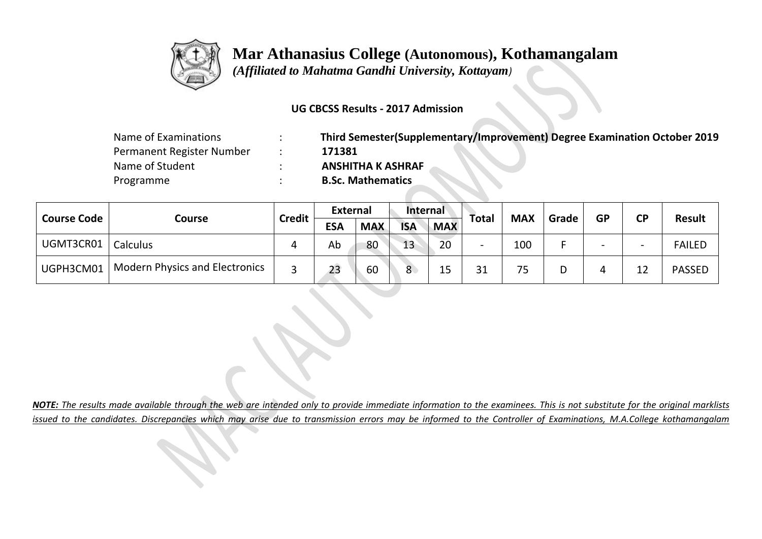

 *(Affiliated to Mahatma Gandhi University, Kottayam)*

#### **UG CBCSS Results - 2017 Admission**

| Name of Examinations      |
|---------------------------|
| Permanent Register Number |
| Name of Student           |
| Programme                 |

Name of Examinations : **Third Semester(Supplementary/Improvement) Degree Examination October 2019** Permanent Register Number : **171381** Name of Student : **ANSHITHA K ASHRAF B.Sc. Mathematics** 

|                    |                                       | <b>Credit</b> | <b>External</b> |            | <b>Internal</b> |            |              | <b>MAX</b> | Grade | <b>GP</b>                | <b>CP</b>                | <b>Result</b> |
|--------------------|---------------------------------------|---------------|-----------------|------------|-----------------|------------|--------------|------------|-------|--------------------------|--------------------------|---------------|
| <b>Course Code</b> | Course                                |               | <b>ESA</b>      | <b>MAX</b> | <b>ISA</b>      | <b>MAX</b> | <b>Total</b> |            |       |                          |                          |               |
| UGMT3CR01          | Calculus                              | 4             | Ab              | 80         | 13              | 20         |              | 100        |       | $\overline{\phantom{0}}$ | $\overline{\phantom{0}}$ | <b>FAILED</b> |
| UGPH3CM01          | <b>Modern Physics and Electronics</b> |               | 23              | 60         | 8.              | 15         | 21           | 75         | D     |                          | 12                       | <b>PASSED</b> |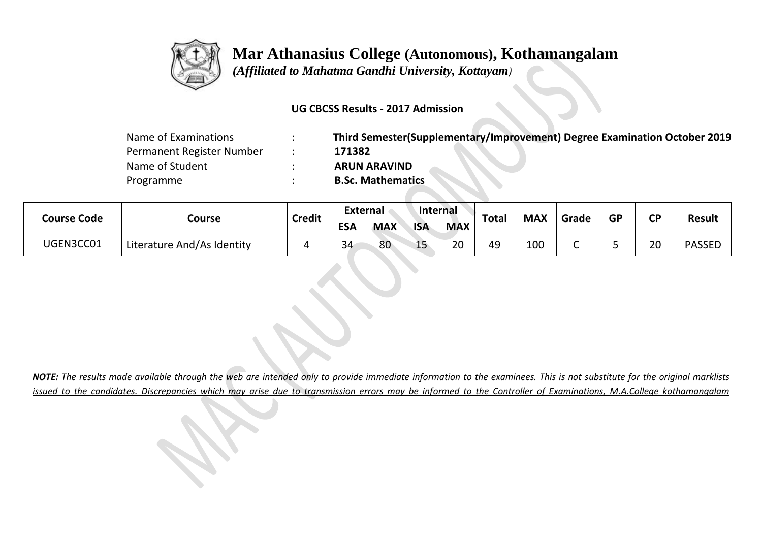

 *(Affiliated to Mahatma Gandhi University, Kottayam)*

#### **UG CBCSS Results - 2017 Admission**

| Name of Examinations      | Third Semester(Supplementary/Improvement) Degree Examination October 2019 |
|---------------------------|---------------------------------------------------------------------------|
| Permanent Register Number | 171382                                                                    |
| Name of Student           | <b>ARUN ARAVIND</b>                                                       |
| Programme                 | <b>B.Sc. Mathematics</b>                                                  |

|                    |                            | <b>Credit</b> | <b>External</b> |            | <b>Internal</b> |            | <b>Total</b> | <b>MAX</b> | Grade | <b>GP</b> | <b>CD</b> | <b>Result</b> |
|--------------------|----------------------------|---------------|-----------------|------------|-----------------|------------|--------------|------------|-------|-----------|-----------|---------------|
| <b>Course Code</b> | Course                     |               | <b>ESA</b>      | <b>MAX</b> | <b>ISA</b>      | <b>MAX</b> |              |            |       |           |           |               |
| UGEN3CC01          | Literature And/As Identity |               | 34              | 80         | 15              | 20         | 49           | 100        | ◡     |           | 20        | <b>PASSED</b> |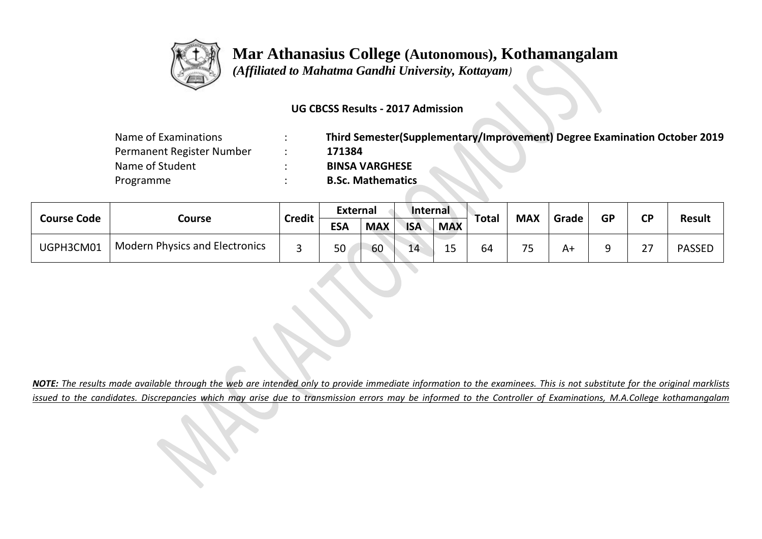

 *(Affiliated to Mahatma Gandhi University, Kottayam)*

### **UG CBCSS Results - 2017 Admission**

| Name of Examinations      | Third Semester(Supplementary/Improvement) Degree Examination October 2019 |
|---------------------------|---------------------------------------------------------------------------|
| Permanent Register Number | 171384                                                                    |
| Name of Student           | <b>BINSA VARGHESE</b>                                                     |
| Programme                 | <b>B.Sc. Mathematics</b>                                                  |

|                    |                                       |               | <b>External</b> |            | Internal   |            |              | <b>MAX</b> |       |           |                    |               |
|--------------------|---------------------------------------|---------------|-----------------|------------|------------|------------|--------------|------------|-------|-----------|--------------------|---------------|
| <b>Course Code</b> | Course                                | <b>Credit</b> | <b>ESA</b>      | <b>MAX</b> | <b>ISA</b> | <b>MAX</b> | <b>Total</b> |            | Grade | <b>GP</b> | <b>CP</b>          | <b>Result</b> |
| UGPH3CM01          | <b>Modern Physics and Electronics</b> |               | 50              | 60         | 14         | 1 C<br>--  | 64           | フロ         | A+    | a         | ີ<br>$\mathcal{L}$ | <b>PASSED</b> |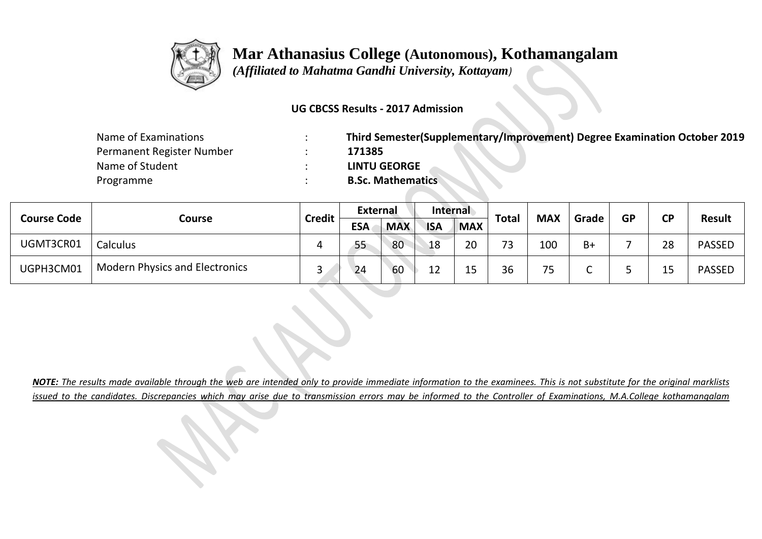

 *(Affiliated to Mahatma Gandhi University, Kottayam)*

### **UG CBCSS Results - 2017 Admission**

| Name of Examinations      | Third Semester(Supplementary/Improvement) Degree Examination October 2019 |
|---------------------------|---------------------------------------------------------------------------|
| Permanent Register Number | 171385                                                                    |
| Name of Student           | <b>LINTU GEORGE</b>                                                       |
| Programme                 | <b>B.Sc. Mathematics</b>                                                  |

| <b>Course Code</b> |                                       | <b>Credit</b> | <b>External</b> |            | <b>Internal</b> |            | <b>Total</b> | <b>MAX</b> |       | <b>GP</b> | <b>CD</b> |               |
|--------------------|---------------------------------------|---------------|-----------------|------------|-----------------|------------|--------------|------------|-------|-----------|-----------|---------------|
|                    | Course                                |               | <b>ESA</b>      | <b>MAX</b> | <b>ISA</b>      | <b>MAX</b> |              |            | Grade |           |           | <b>Result</b> |
| UGMT3CR01          | <b>Calculus</b>                       |               | 55              | 80         | 18              | 20         | 72           | 100        | $B+$  |           | 28        | <b>PASSED</b> |
| UGPH3CM01          | <b>Modern Physics and Electronics</b> |               | 24              | 60         | 12              | 15         | 36           | 75<br>ر ,  |       |           |           | <b>PASSED</b> |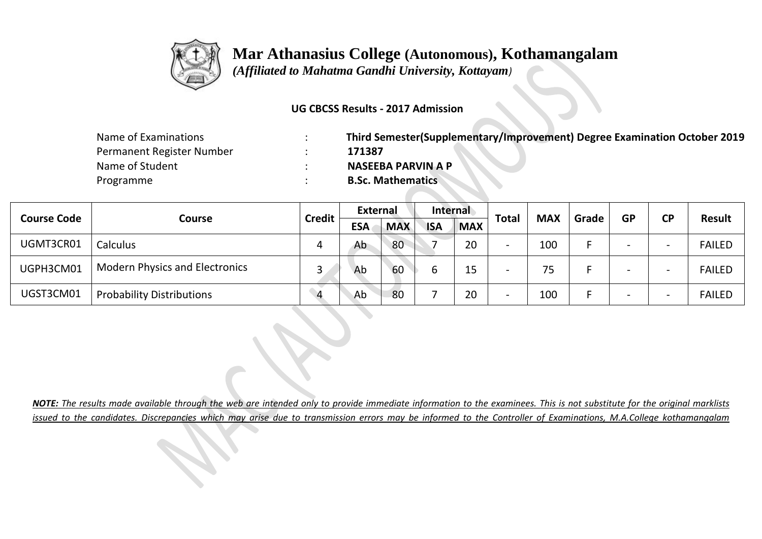

 *(Affiliated to Mahatma Gandhi University, Kottayam)*

### **UG CBCSS Results - 2017 Admission**

| Name of Examinations      | Third Semester(Supplementary/Improvement) Degree Examination October 2019 |
|---------------------------|---------------------------------------------------------------------------|
| Permanent Register Number | 171387                                                                    |
| Name of Student           | <b>NASEEBA PARVIN A P</b>                                                 |
| Programme                 | <b>B.Sc. Mathematics</b>                                                  |

|                    |                                       |                | <b>External</b> |            | <b>Internal</b> |            |                          | <b>MAX</b> |       | <b>GP</b> |    | <b>Result</b> |
|--------------------|---------------------------------------|----------------|-----------------|------------|-----------------|------------|--------------------------|------------|-------|-----------|----|---------------|
| <b>Course Code</b> | Course                                | <b>Credit</b>  | <b>ESA</b>      | <b>MAX</b> | <b>ISA</b>      | <b>MAX</b> | <b>Total</b>             |            | Grade |           | CP |               |
| UGMT3CR01          | <b>Calculus</b>                       | 4              | Ab              | 80         |                 | 20         | $\overline{\phantom{0}}$ | 100        |       |           |    | <b>FAILED</b> |
| UGPH3CM01          | <b>Modern Physics and Electronics</b> | 0              | Ab              | 60         |                 | 15         | -                        | 75         |       |           |    | <b>FAILED</b> |
| UGST3CM01          | <b>Probability Distributions</b>      | $\overline{4}$ | Ab              | 80         |                 | 20         | $\overline{\phantom{0}}$ | 100        |       |           |    | <b>FAILED</b> |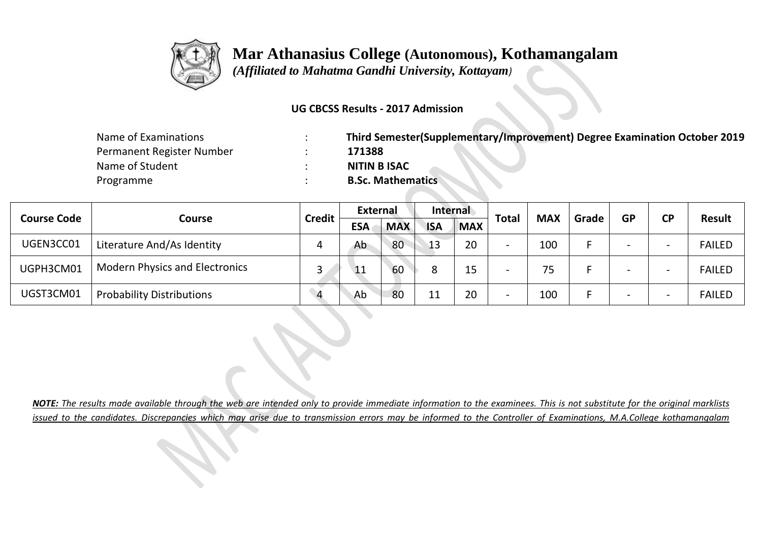

 *(Affiliated to Mahatma Gandhi University, Kottayam)*

### **UG CBCSS Results - 2017 Admission**

| Name of Examinations      | Third Semester(Supplementary/Improvement) Degree Examination October 2019 |
|---------------------------|---------------------------------------------------------------------------|
| Permanent Register Number | 171388                                                                    |
| Name of Student           | <b>NITIN B ISAC</b>                                                       |
| Programme                 | <b>B.Sc. Mathematics</b>                                                  |

|                    |                                       | <b>Credit</b>  | <b>External</b> |            | <b>Internal</b> |            | <b>Total</b>             |            |       |           | <b>CP</b> | Result        |
|--------------------|---------------------------------------|----------------|-----------------|------------|-----------------|------------|--------------------------|------------|-------|-----------|-----------|---------------|
| <b>Course Code</b> | <b>Course</b>                         |                | <b>ESA</b>      | <b>MAX</b> | <b>ISA</b>      | <b>MAX</b> |                          | <b>MAX</b> | Grade | <b>GP</b> |           |               |
| UGEN3CC01          | Literature And/As Identity            |                | Ab              | 80         | 13              | 20         | $\overline{\phantom{0}}$ | 100        |       |           |           | <b>FAILED</b> |
| UGPH3CM01          | <b>Modern Physics and Electronics</b> |                | 11              | 60         |                 | 15         | $\overline{\phantom{0}}$ | 75         |       |           |           | <b>FAILED</b> |
| UGST3CM01          | <b>Probability Distributions</b>      | $\overline{4}$ | Ab              | 80         |                 | 20         | $\overline{\phantom{0}}$ | 100        |       | -         |           | <b>FAILED</b> |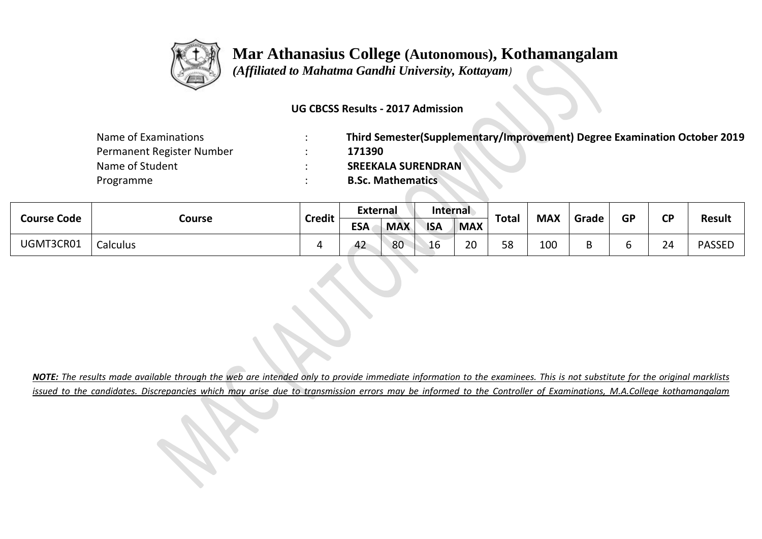

 *(Affiliated to Mahatma Gandhi University, Kottayam)*

#### **UG CBCSS Results - 2017 Admission**

| Name of Examinations      | Third Semester(Supplementary/Improvement) Degree Examination October 2019 |
|---------------------------|---------------------------------------------------------------------------|
| Permanent Register Number | 171390                                                                    |
| Name of Student           | <b>SREEKALA SURENDRAN</b>                                                 |
| Programme                 | <b>B.Sc. Mathematics</b>                                                  |

|                    |          | $\cdots$ | External   |            | <b>Internal</b> |            | <b>Total</b> | <b>MAX</b> | Grade | <b>GP</b> | σD | <b>Result</b> |
|--------------------|----------|----------|------------|------------|-----------------|------------|--------------|------------|-------|-----------|----|---------------|
| <b>Course Code</b> | Course   | Credit   | <b>ESA</b> | <b>MAX</b> | <b>ISA</b>      | <b>MAX</b> |              |            |       |           |    |               |
| UGMT3CR01          | Calculus |          | 42         | 80         | 16              | 20         | 58           | 100        |       |           | 24 | <b>PASSED</b> |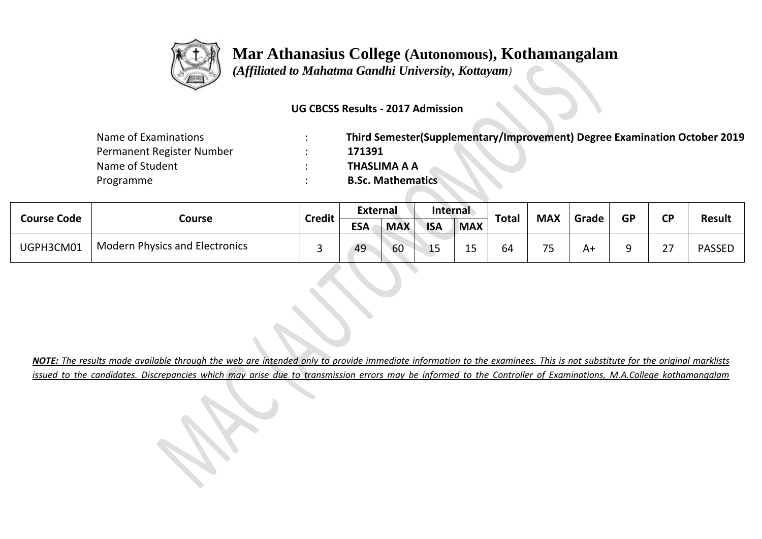

 *(Affiliated to Mahatma Gandhi University, Kottayam)*

#### **UG CBCSS Results - 2017 Admission**

| Name of Examinations      | Third Semester(Supplementary/Improvement) Degree Examination October 2019 |
|---------------------------|---------------------------------------------------------------------------|
| Permanent Register Number | 171391                                                                    |
| Name of Student           | THASLIMA A A                                                              |
| Programme                 | <b>B.Sc. Mathematics</b>                                                  |

| <b>Course Code</b> |                                       |               | <b>External</b> |            | <b>Internal</b> |            |                      | <b>MAX</b>                    |       |           | σD                            |               |
|--------------------|---------------------------------------|---------------|-----------------|------------|-----------------|------------|----------------------|-------------------------------|-------|-----------|-------------------------------|---------------|
|                    | Course                                | <b>Credit</b> | <b>ESA</b>      | <b>MAX</b> | <b>ISA</b>      | <b>MAX</b> | <b>Total</b>         |                               | Grade | <b>GP</b> |                               | <b>Result</b> |
| UGPH3CM01          | <b>Modern Physics and Electronics</b> | ــ            | 49              | 60         | --              | ᅩ          | - -<br><sup>64</sup> | $\overline{\phantom{a}}$<br>ັ | A١    |           | $\mathbin{\lnot}$<br><u>_</u> | <b>PASSED</b> |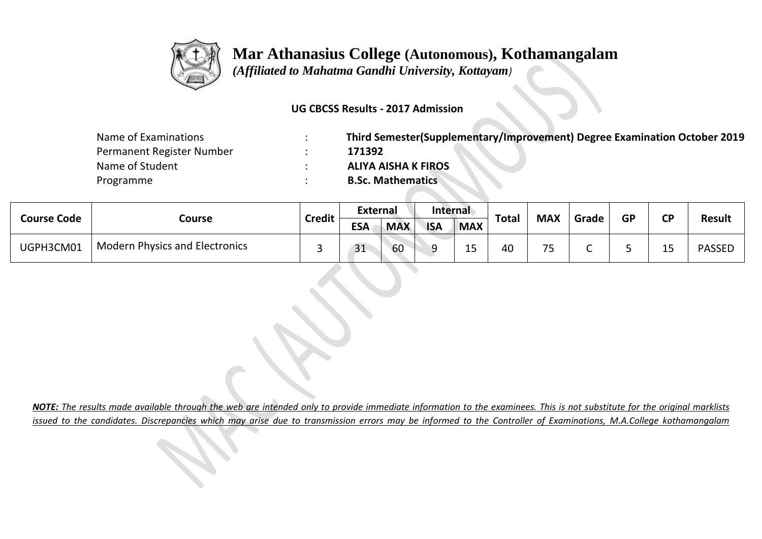

 *(Affiliated to Mahatma Gandhi University, Kottayam)*

#### **UG CBCSS Results - 2017 Admission**

| Name of Examinations      | Third Semester(Supplementary/Improvement) Degree Examination October 2019 |
|---------------------------|---------------------------------------------------------------------------|
| Permanent Register Number | 171392                                                                    |
| Name of Student           | <b>ALIYA AISHA K FIROS</b>                                                |
| Programme                 | <b>B.Sc. Mathematics</b>                                                  |

| <b>Course Code</b> |                                       |               | <b>External</b> |            | <b>Internal</b> |            |              | <b>MAX</b>               |       |           | <b>CD</b> |               |
|--------------------|---------------------------------------|---------------|-----------------|------------|-----------------|------------|--------------|--------------------------|-------|-----------|-----------|---------------|
|                    | Course                                | <b>Credit</b> | <b>ESA</b>      | <b>MAX</b> | <b>ISA</b>      | <b>MAX</b> | <b>Total</b> |                          | Grade | <b>GP</b> |           | <b>Result</b> |
| UGPH3CM01          | <b>Modern Physics and Electronics</b> |               | 31              | 60         | C               | --         | 40           | $\overline{\phantom{a}}$ |       |           | --        | <b>PASSED</b> |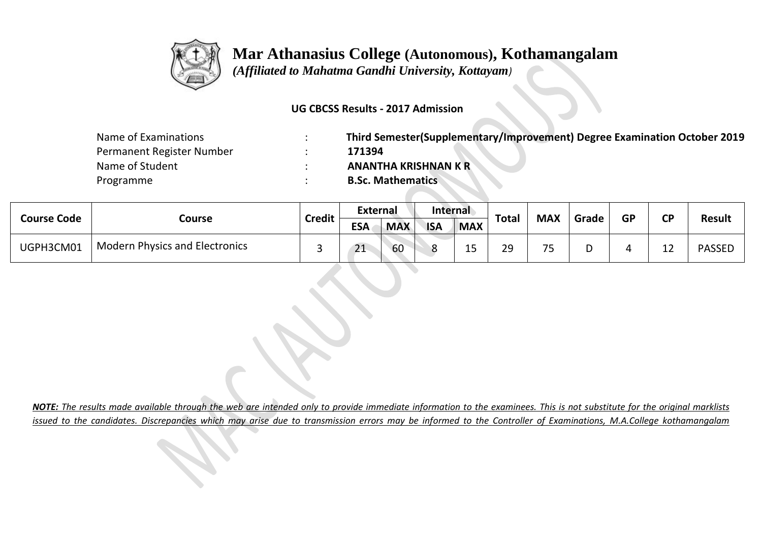

 *(Affiliated to Mahatma Gandhi University, Kottayam)*

#### **UG CBCSS Results - 2017 Admission**

| Name of Examinations      | Third Semester(Supplementary/Improvement) Degree Examination October 2019 |
|---------------------------|---------------------------------------------------------------------------|
| Permanent Register Number | 171394                                                                    |
| Name of Student           | <b>ANANTHA KRISHNAN K R</b>                                               |
| Programme                 | <b>B.Sc. Mathematics</b>                                                  |

| <b>Course Code</b> |                                       |               | <b>External</b> |            | <b>Internal</b> |            |              | <b>MAX</b>               |       | GP | CD | <b>Result</b> |
|--------------------|---------------------------------------|---------------|-----------------|------------|-----------------|------------|--------------|--------------------------|-------|----|----|---------------|
|                    | Course                                | <b>Credit</b> | <b>ESA</b>      | <b>MAX</b> | <b>ISA</b>      | <b>MAX</b> | <b>Total</b> |                          | Grade |    |    |               |
| UGPH3CM01          | <b>Modern Physics and Electronics</b> |               | 21              | 60         | Ω               | LJ         | 29           | $\overline{\phantom{a}}$ |       |    | -- | <b>PASSED</b> |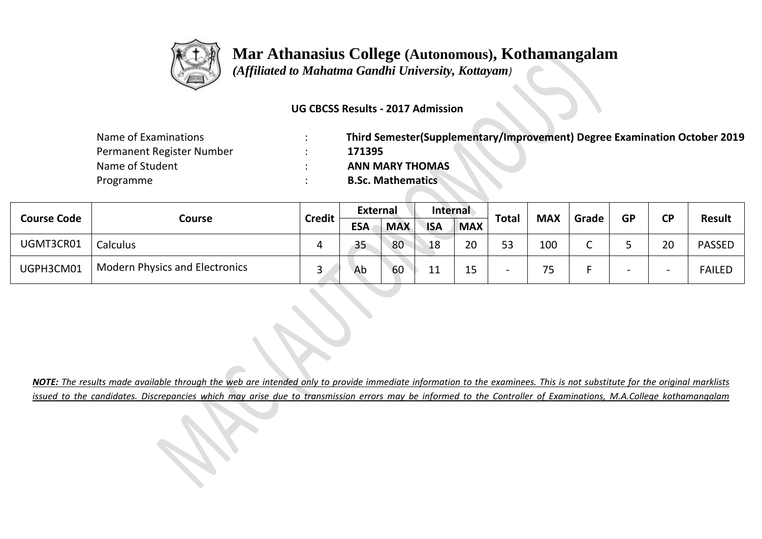

 *(Affiliated to Mahatma Gandhi University, Kottayam)*

### **UG CBCSS Results - 2017 Admission**

| Name of Examinations      | Third Semester(Supplementary/Improvement) Degree Examination October 2019 |
|---------------------------|---------------------------------------------------------------------------|
| Permanent Register Number | 171395                                                                    |
| Name of Student           | <b>ANN MARY THOMAS</b>                                                    |
| Programme                 | <b>B.Sc. Mathematics</b>                                                  |

|                    | Course                                | <b>Credit</b> | <b>External</b> |            | <b>Internal</b> |                     | <b>Total</b> | <b>MAX</b>          | Grade | <b>GP</b> | <b>CD</b> |               |
|--------------------|---------------------------------------|---------------|-----------------|------------|-----------------|---------------------|--------------|---------------------|-------|-----------|-----------|---------------|
| <b>Course Code</b> |                                       |               | <b>ESA</b>      | <b>MAX</b> | <b>ISA</b>      | <b>MAX</b>          |              |                     |       |           | ∼         | <b>Result</b> |
| UGMT3CR01          | <b>Calculus</b>                       |               | 35              | 80         | 18              | 20                  | 53           | 100                 | ֊     |           | 20        | <b>PASSED</b> |
| UGPH3CM01          | <b>Modern Physics and Electronics</b> | $\sim$        | Ab              | 60         | 11              | $\sim$ $\sim$<br>כד |              | 7 <sub>5</sub><br>ٮ |       |           |           | <b>FAILED</b> |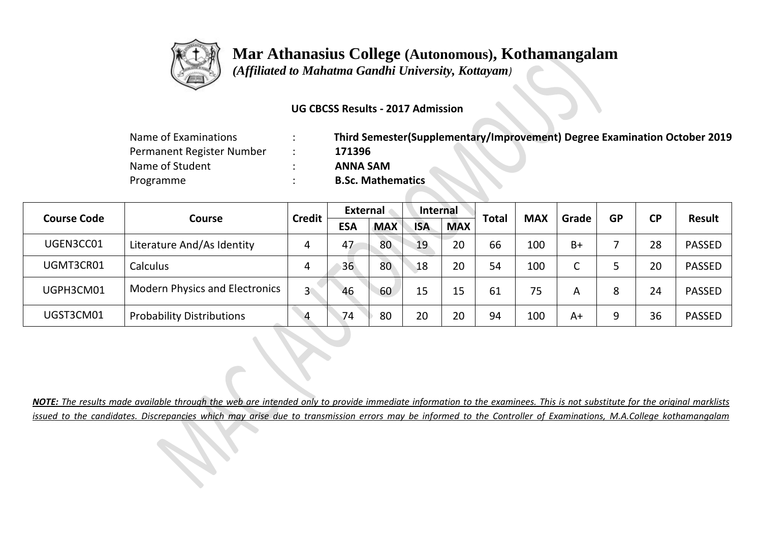

 *(Affiliated to Mahatma Gandhi University, Kottayam)*

### **UG CBCSS Results - 2017 Admission**

| Name of Examinations      | Third Semester(Supplementary/Improvement) Degree Examination October 2019 |
|---------------------------|---------------------------------------------------------------------------|
| Permanent Register Number | 171396                                                                    |
| Name of Student           | <b>ANNA SAM</b>                                                           |
| Programme                 | <b>B.Sc. Mathematics</b>                                                  |

|                                     |                                       | <b>Credit</b>  | External   |            | Internal   |            | <b>Total</b> | <b>MAX</b> | Grade | <b>GP</b> | <b>CP</b> | <b>Result</b> |
|-------------------------------------|---------------------------------------|----------------|------------|------------|------------|------------|--------------|------------|-------|-----------|-----------|---------------|
| <b>Course Code</b><br><b>Course</b> |                                       |                | <b>ESA</b> | <b>MAX</b> | <b>ISA</b> | <b>MAX</b> |              |            |       |           |           |               |
| UGEN3CC01                           | Literature And/As Identity            |                | 47         | 80         | 19         | 20         | 66           | 100        | $B+$  |           | 28        | <b>PASSED</b> |
| UGMT3CR01                           | Calculus                              | 4              | 36         | 80         | 18         | 20         | 54           | 100        | C     |           | 20        | <b>PASSED</b> |
| UGPH3CM01                           | <b>Modern Physics and Electronics</b> | $\overline{3}$ | 46         | 60         | 15         | 15         | 61           | 75         | A     | 8         | 24        | <b>PASSED</b> |
| UGST3CM01                           | <b>Probability Distributions</b>      | $\overline{4}$ | 74         | 80         | 20         | 20         | 94           | 100        | A+    | 9         | 36        | <b>PASSED</b> |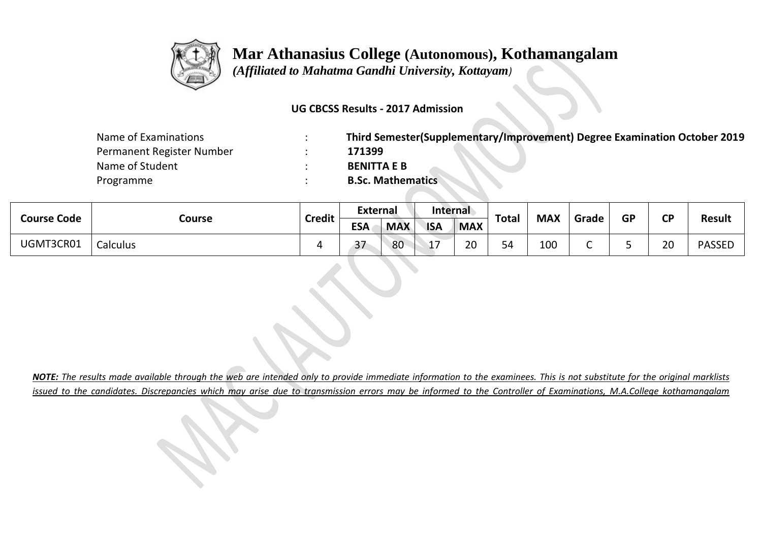

 *(Affiliated to Mahatma Gandhi University, Kottayam)*

#### **UG CBCSS Results - 2017 Admission**

| Name of Examinations      | Third Semester(Supplementary/Improvement) Degree Examination October 2019 |
|---------------------------|---------------------------------------------------------------------------|
| Permanent Register Number | 171399                                                                    |
| Name of Student           | <b>BENITTA E B</b>                                                        |
| Programme                 | <b>B.Sc. Mathematics</b>                                                  |

| <b>Course Code</b> | Course   | <b>Credit</b> | External            |            | <b>Internal</b> |            | <b>Total</b> | <b>MAX</b> | Grade | <b>GP</b> | <b>CD</b> | <b>Result</b> |
|--------------------|----------|---------------|---------------------|------------|-----------------|------------|--------------|------------|-------|-----------|-----------|---------------|
|                    |          |               | <b>ESA</b>          | <b>MAX</b> | <b>ISA</b>      | <b>MAX</b> |              |            |       |           |           |               |
| UGMT3CR01          | Calculus |               | $\mathbf{z}$<br>ر ر | 80         | ∸               | 20         | 54           | 100        |       |           | 20        | <b>PASSED</b> |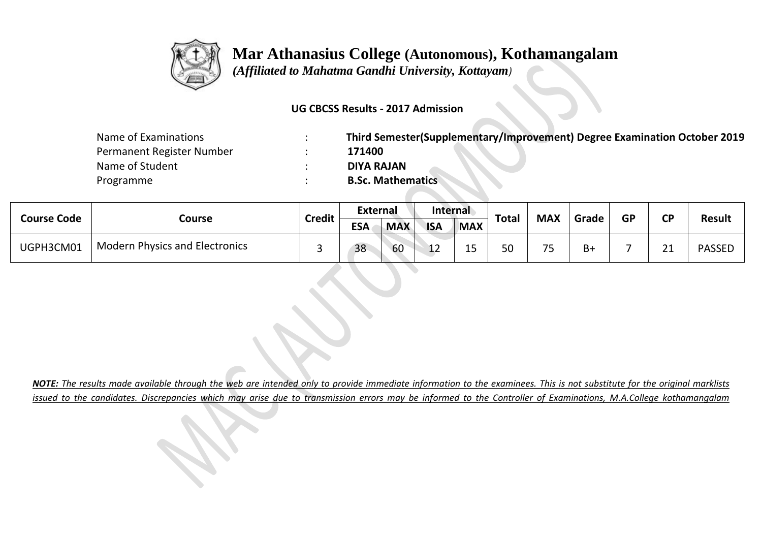

 *(Affiliated to Mahatma Gandhi University, Kottayam)*

### **UG CBCSS Results - 2017 Admission**

| Name of Examinations      | Third Semester(Supplementary/Improvement) Degree Examination October 2019 |
|---------------------------|---------------------------------------------------------------------------|
| Permanent Register Number | 171400                                                                    |
| Name of Student           | <b>DIYA RAJAN</b>                                                         |
| Programme                 | <b>B.Sc. Mathematics</b>                                                  |

|                    |                                       |               | External   |            | <b>Internal</b> |                                   |              | <b>MAX</b>     |       | GP | <b>CD</b>            | <b>Result</b> |
|--------------------|---------------------------------------|---------------|------------|------------|-----------------|-----------------------------------|--------------|----------------|-------|----|----------------------|---------------|
| <b>Course Code</b> | Course                                | <b>Credit</b> | <b>ESA</b> | <b>MAX</b> | <b>ISA</b>      | <b>MAX</b>                        | <b>Total</b> |                | Grade |    |                      |               |
| UGPH3CM01          | <b>Modern Physics and Electronics</b> |               | 38         | 60         | ᅶ               | $\overline{\phantom{0}}$<br>-- 11 | 50           | 7 <sub>5</sub> | В+    |    | $\sim$<br><u>_ _</u> | <b>PASSEL</b> |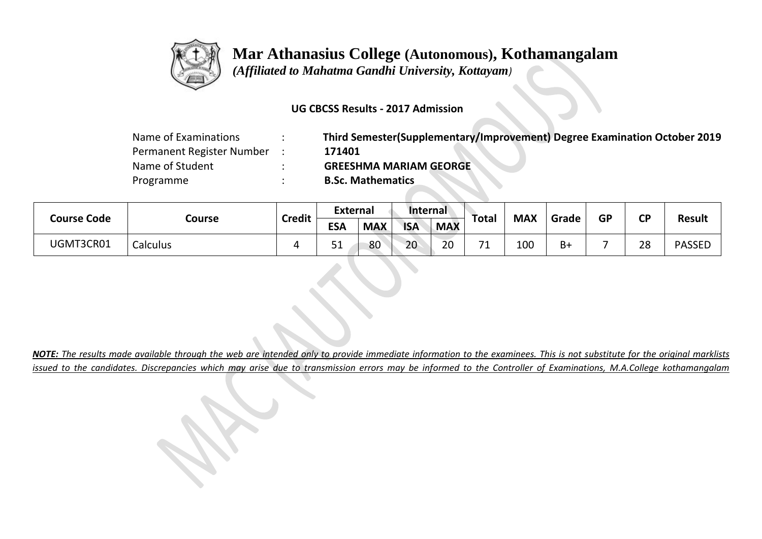

 *(Affiliated to Mahatma Gandhi University, Kottayam)*

### **UG CBCSS Results - 2017 Admission**

| Name of Examinations      | Third Semester(Supplementary/Improvement) Degree Examination October 2019 |
|---------------------------|---------------------------------------------------------------------------|
| Permanent Register Number | 171401                                                                    |
| Name of Student           | <b>GREESHMA MARIAM GEORGE</b>                                             |
| Programme                 | <b>B.Sc. Mathematics</b>                                                  |

| <b>Course Code</b> | Course   |        | <b>External</b> |            | Internal   |            |                               |            | Grade |           |           | <b>Result</b> |
|--------------------|----------|--------|-----------------|------------|------------|------------|-------------------------------|------------|-------|-----------|-----------|---------------|
|                    |          | Credit | <b>ESA</b>      | <b>MAX</b> | <b>ISA</b> | <b>MAX</b> | Total                         | <b>MAX</b> |       | <b>GP</b> | <b>CP</b> |               |
| UGMT3CR01          | Calculus |        | ◡∸              | 80         | 20         | າ∩<br>∠⊾   | $\overline{\phantom{a}}$<br>- | 100        | B+    |           | 28        | <b>PASSED</b> |